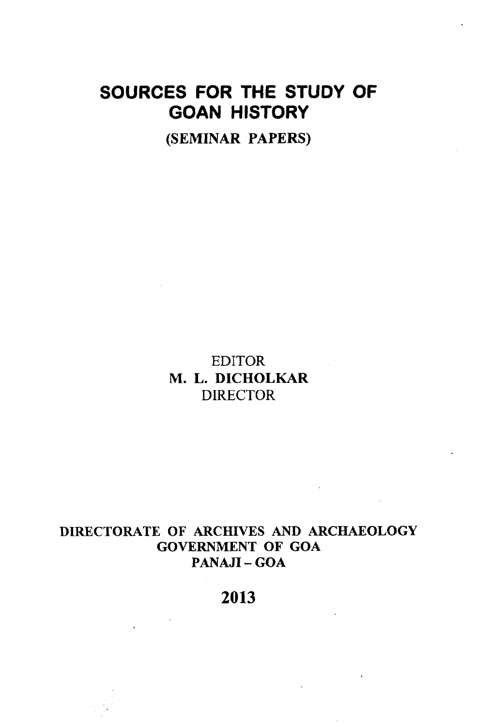# SOURCES FOR THE STUDY OF GOAN HISTORY

**(SEMINAR PAPERS)**

EDITOR **M. L. DICHOLKAR** DIRECTOR

# **DIRECTORATE OF ARCHIVES AND ARCHAEOLOGY GOVERNMENT OF GOA PANAJI - GOA**

**2013**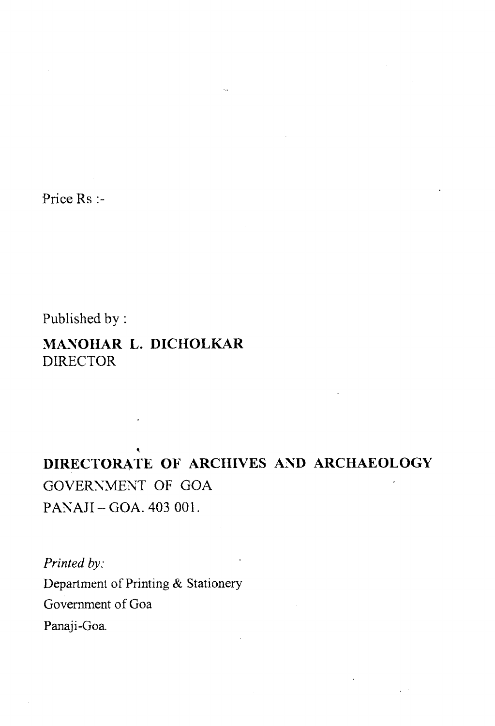Price Rs :-

Published by:

# **MANOHAR L. DICHOLKAR DIRECTOR**

# **DIRECTORATE OF ARCHIVES AND ARCHAEOLOGY** GOVERNMENT OF GOA PANAJI-GOA. 403 001.

*Printed by:*

Department of Printing & Stationery Government of Goa Panaji-Goa.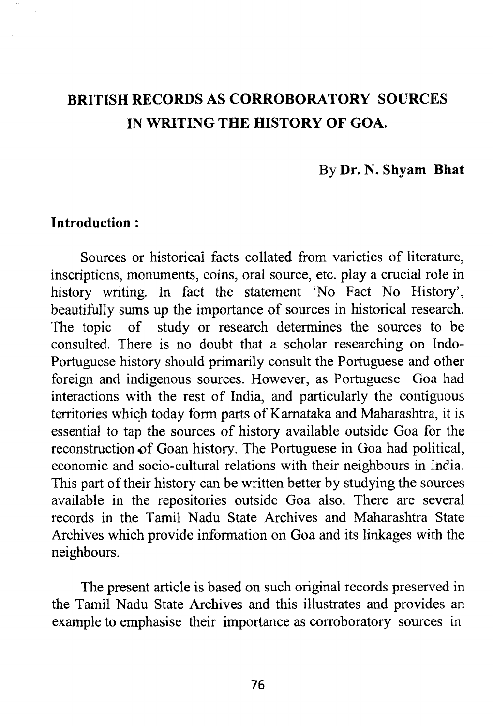# **BRITISH RECORDS AS CORROBORATORY SOURCES IN WRITING THE HISTORY OF GOA.**

### By **Dr.** N. **Shyam Bhat**

### **Introduction :**

Sources or historical facts collated from varieties of literature, inscriptions, monuments, coins, oral source, etc. play a crucial role in history writing. In fact the statement 'No Fact No History', beautifully sums up the importance of sources in historical research. The topic of study or research determines the sources to be consulted. There is no doubt that a scholar researching on Indo-Portuguese history should primarily consult the Portuguese and other foreign and indigenous sources. However, as Portuguese Goa had interactions with the rest of India, and particularly the contiguous territories which today form parts of Karnataka and Maharashtra, it is essential to tap the sources of history available outside Goa for the reconstruction of Goan history. The Portuguese in Goa had political, economic and socio-cultural relations with their neighbours in India. This part of their history can be written better by studying the sources available in the repositories outside Goa also. There are several records in the Tamil Nadu State Archives and Maharashtra State Archives which provide information on Goa and its linkages with the neighbours.

The present article is based on such original records preserved in the Tamil Nadu State Archives and this illustrates and provides an example to emphasise their importance as corroboratory sources in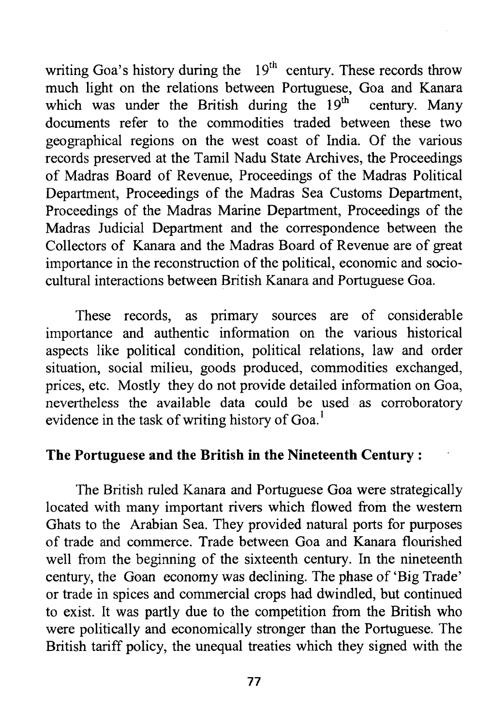writing Goa's history during the  $19<sup>th</sup>$  century. These records throw much light on the relations between Portuguese, Goa and Kanara which was under the British during the  $19<sup>th</sup>$  century. Many documents refer to the commodities traded between these two geographical regions on the west coast of India. Of the various records preserved at the Tamil Nadu State Archives, the Proceedings of Madras Board of Revenue, Proceedings of the Madras Political Department, Proceedings of the Madras Sea Customs Department, Proceedings of the Madras Marine Department, Proceedings of the Madras Judicial Department and the correspondence between the Collectors of Kanara and the Madras Board of Revenue are of great importance in the reconstruction of the political, economic and sociocultural interactions between British Kanara and Portuguese Goa.

These records, as primary sources are of considerable importance and authentic information on the various historical aspects like political condition, political relations, law and order situation, social milieu, goods produced, commodities exchanged, prices, etc. Mostly they do not provide detailed information on Goa, nevertheless the available data could be used as corroboratory evidence in the task of writing history of Goa.<sup>1</sup>

# **The Portuguese and the British in the Nineteenth Century :**

The British ruled Kanara and Portuguese Goa were strategically located with many important rivers which flowed from the western Ghats to the Arabian Sea. They provided natural ports for purposes of trade and commerce. Trade between Goa and Kanara flourished well from the beginning of the sixteenth century. In the nineteenth century, the Goan economy was declining. The phase of 'Big Trade' or trade in spices and commercial crops had dwindled, but continued to exist. It was partly due to the competition from the British who were politically and economically stronger than the Portuguese. The British tariff policy, the unequal treaties which they signed with the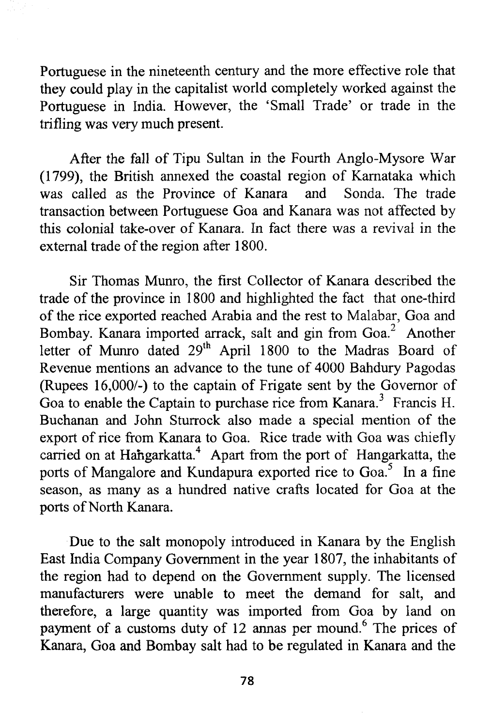Portuguese in the nineteenth century and the more effective role that they could play in the capitalist world completely worked against the Portuguese in India. However, the 'Small Trade' or trade in the trifling was very much present.

After the fall of Tipu Sultan in the Fourth Anglo-Mysore War (1799), the British annexed the coastal region of Karnataka which was called as the Province of Kanara transaction between Portuguese Goa and Kanara was not affected by this colonial take-over of Kanara. In fact there was a revival in the external trade of the region after 1800.

Sir Thomas Munro, the first Collector of Kanara described the trade of the province in 1800 and highlighted the fact that one-third of the rice exported reached Arabia and the rest to Malabar, Goa and Bombay. Kanara imported arrack, salt and gin from Goa.<sup>2</sup> Another letter of Munro dated 29<sup>th</sup> April 1800 to the Madras Board of Revenue mentions an advance to the tune of 4000 Bahdury Pagodas (Rupees 16,000/-) to the captain of Frigate sent by the Governor of Goa to enable the Captain to purchase rice from Kanara.<sup>3</sup> Francis H. Buchanan and John Sturrock also made a special mention of the export of rice from Kanara to Goa. Rice trade with Goa was chiefly carried on at Hahgarkatta.<sup>4</sup> Apart from the port of Hangarkatta, the ports of Mangalore and Kundapura exported rice to Goa.<sup>5</sup> In a fine season, as many as a hundred native crafts located for Goa at the ports of North Kanara.

Due to the salt monopoly introduced in Kanara by the English East India Company Government in the year 1807, the inhabitants of the region had to depend on the Government supply. The licensed manufacturers were unable to meet the demand for salt, and therefore, a large quantity was imported from Goa by land on payment of a customs duty of 12 annas per mound.<sup>6</sup> The prices of Kanara, Goa and Bombay salt had to be regulated in Kanara and the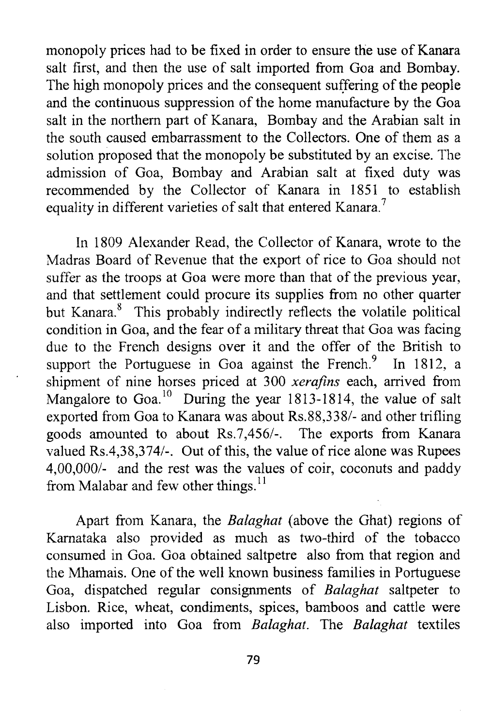monopoly prices had to be fixed in order to ensure the use of Kanara salt first, and then the use of salt imported from Goa and Bombay. The high monopoly prices and the consequent suffering of the people and the continuous suppression of the home manufacture by the Goa salt in the northern part of Kanara, Bombay and the Arabian salt in the south caused embarrassment to the Collectors. One of them as a solution proposed that the monopoly be substituted by an excise. The admission of Goa, Bombay and Arabian salt at fixed duty was recommended by the Collector of Kanara in 1851 to establish equality in different varieties of salt that entered Kanara.<sup>7</sup>

In 1809 Alexander Read, the Collector of Kanara, wrote to the Madras Board of Revenue that the export of rice to Goa should not suffer as the troops at Goa were more than that of the previous year, and that settlement could procure its supplies from no other quarter but Kanara.<sup>8</sup> This probably indirectly reflects the volatile political condition in Goa, and the fear of a military threat that Goa was facing due to the French designs over it and the offer of the British to support the Portuguese in Goa against the French.<sup>9</sup> In 1812, a shipment of nine horses priced at 300 *xerafms* each, arrived from Mangalore to Goa.<sup>10</sup> During the year 1813-1814, the value of salt exported from Goa to Kanara was about Rs.88,338/- and other trifling goods amounted to about Rs.7,456/-. The exports from Kanara valued Rs.4,38,374/-. Out of this, the value of rice alone was Rupees 4,00,000/- and the rest was the values of coir, coconuts and paddy from Malabar and few other things. $^{11}$ 

Apart from Kanara, the *Balaghat* (above the Ghat) regions of Karnataka also provided as much as two-third of the tobacco consumed in Goa. Goa obtained saltpetre also from that region and the Mhamais. One of the well known business families in Portuguese Goa, dispatched regular consignments of *Balaghat* saltpeter to Lisbon. Rice, wheat, condiments, spices, bamboos and cattle were also imported into Goa from *Balaghat.* The *Balaghat* textiles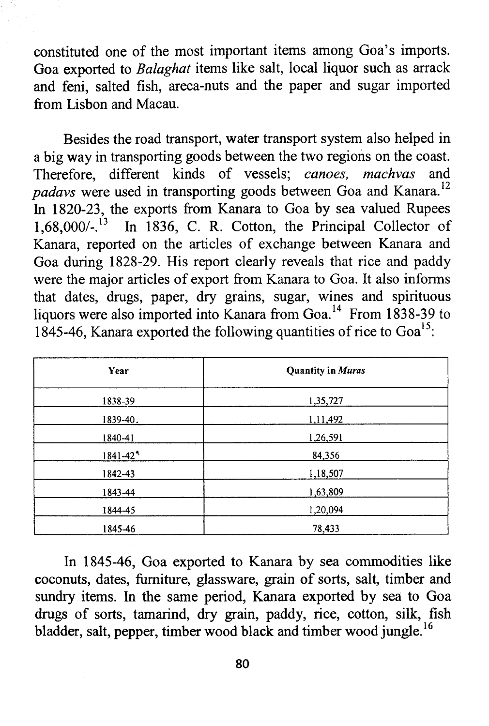constituted one of the most important items among Goa's imports. Goa exported to *Balaghat* items like salt, local liquor such as arrack and feni, salted fish, areca-nuts and the paper and sugar imported from Lisbon and Macau.

Besides the road transport, water transport system also helped in a big way in transporting goods between the two regions on the coast. Therefore, different kinds of vessels; *canoes, machvas* and padavs were used in transporting goods between Goa and Kanara.<sup>12</sup> In 1820-23, the exports from Kanara to Goa by sea valued Rupees  $1.68.000/-^{13}$  In 1836, C. R. Cotton, the Principal Collector of In 1836, C. R. Cotton, the Principal Collector of Kanara, reported on the articles of exchange between Kanara and Goa during 1828-29. His report clearly reveals that rice and paddy were the major articles of export from Kanara to Goa. It also informs that dates, drugs, paper, dry grains, sugar, wines and spirituous liquors were also imported into Kanara from Goa.<sup>14</sup> From 1838-39 to 1845-46, Kanara exported the following quantities of rice to  $Goa<sup>15</sup>$ :

| Year        | <b>Quantity in Muras</b> |  |
|-------------|--------------------------|--|
| 1838-39     | 1,35,727                 |  |
| 1839-40.    | 1,11,492                 |  |
| 1840-41     | 1,26,591                 |  |
| $1841 - 42$ | 84,356                   |  |
| 1842-43     | 1,18,507                 |  |
| 1843-44     | 1,63,809                 |  |
| 1844-45     | 1,20,094                 |  |
| 1845-46     | 78,433                   |  |

In 1845-46, Goa exported to Kanara by sea commodities like coconuts, dates, furniture, glassware, grain of sorts, salt, timber and sundry items. In the same period, Kanara exported by sea to Goa drugs of sorts, tamarind, dry grain, paddy, rice, cotton, silk, fish bladder, salt, pepper, timber wood black and timber wood jungle.<sup>16</sup>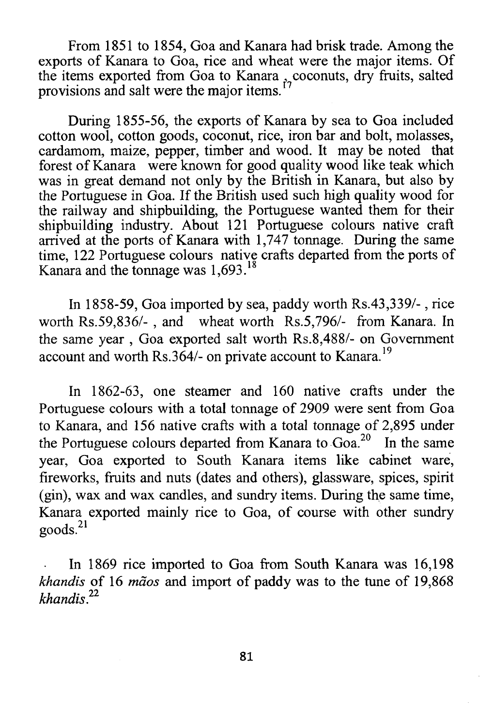From 1851 to 1854, Goa and Kanara had brisk trade. Among the exports of Kanara to Goa, rice and wheat were the major items. Of the items exported from Goa to Kanara , coconuts, dry fruits, salted provisions and salt were the major items.

During 1855-56, the exports of Kanara by sea to Goa included cotton wool, cotton goods, coconut, rice, iron bar and bolt, molasses, cardamom, maize, pepper, timber and wood. It may be noted that forest of Kanara were known for good quality wood like teak which was in great demand not only by the British in Kanara, but also by the Portuguese in Goa. If the British used such high quality wood for the railway and shipbuilding, the Portuguese wanted them for their shipbuilding industry. About 121 Portuguese colours native craft arrived at the ports of Kanara with 1,747 tonnage. During the same time, 122 Portuguese colours native crafts departed from the ports of Kanara and the tonnage was 1,693.<sup>18</sup>

In 1858-59, Goa imported by sea, paddy worth Rs.43,339/-, rice worth Rs.59,836/- , and wheat worth Rs.5,796/- from Kanara. In the same year , Goa exported salt worth Rs.8,488/- on Government account and worth Rs.364/- on private account to Kanara.<sup>19</sup>

In 1862-63, one steamer and 160 native crafts under the Portuguese colours with a total tonnage of 2909 were sent from Goa to Kanara, and 156 native crafts with a total tonnage of 2,895 under the Portuguese colours departed from Kanara to Goa.<sup>20</sup> In the same year, Goa exported to South Kanara items like cabinet ware, fireworks, fruits and nuts (dates and others), glassware, spices, spirit (gin), wax and wax candles, and sundry items. During the same time, Kanara exported mainly rice to Goa, of course with other sundry  $\text{goods.}^{21}$ 

In 1869 rice imported to Goa from South Kanara was 16,198 *khandis* of 16 *maos* and import of paddy was to the tune of 19,868 *khandis.22*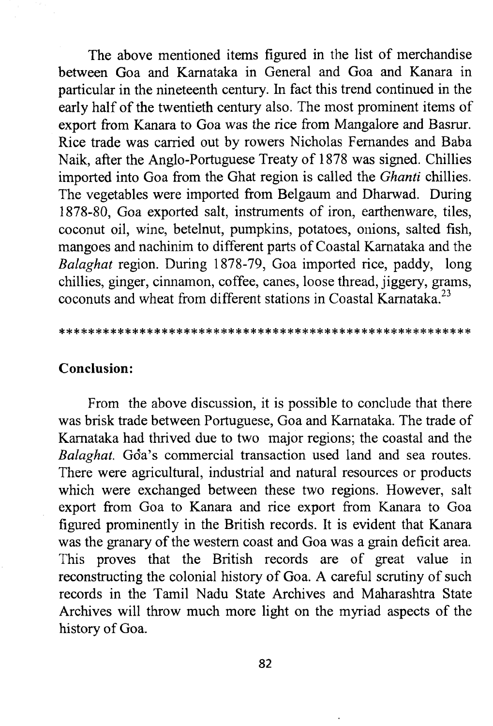The above mentioned items figured in the list of merchandise between Goa and Karnataka in General and Goa and Kanara in particular in the nineteenth century. In fact this trend continued in the early half of the twentieth century also. The most prominent items of export from Kanara to Goa was the rice from Mangalore and Basrur. Rice trade was carried out by rowers Nicholas Fernandes and Baba Naik, after the Anglo-Portuguese Treaty of 1878 was signed. Chillies imported into Goa from the Ghat region is called the *Ghanti* chillies. The vegetables were imported from Belgaum and Dharwad. During 1878-80, Goa exported salt, instruments of iron, earthenware, tiles, coconut oil, wine, betelnut, pumpkins, potatoes, onions, salted fish, mangoes and nachinim to different parts of Coastal Karnataka and the *Balaghat* region. During 1878-79, Goa imported rice, paddy, long chillies, ginger, cinnamon, coffee, canes, loose thread, jiggery, grams, coconuts and wheat from different stations in Coastal Karnataka.

#### 

## **Conclusion:**

From the above discussion, it is possible to conclude that there was brisk trade between Portuguese, Goa and Karnataka. The trade of Karnataka had thrived due to two major regions; the coastal and the *Balaghat*. Go<sup>5</sup>a's commercial transaction used land and sea routes. There were agricultural, industrial and natural resources or products which were exchanged between these two regions. However, salt export from Goa to Kanara and rice export from Kanara to Goa figured prominently in the British records. It is evident that Kanara was the granary of the western coast and Goa was a grain deficit area. This proves that the British records are of great value in reconstructing the colonial history of Goa. A careful scrutiny of such records in the Tamil Nadu State Archives and Maharashtra State Archives will throw much more light on the myriad aspects of the history of Goa.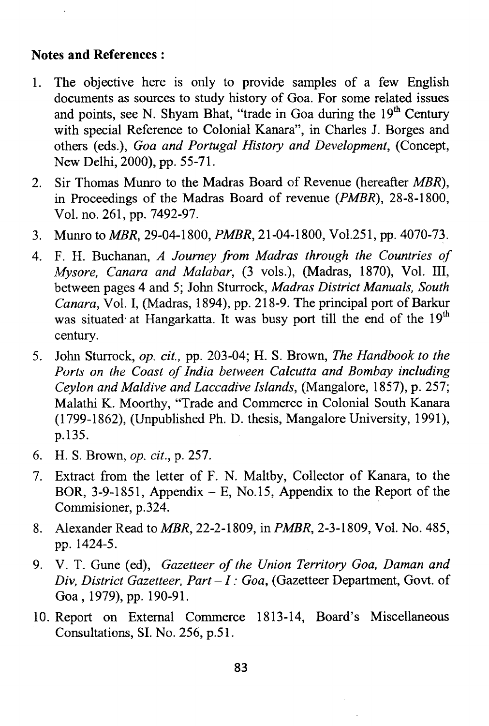### **Notes and References:**

- 1. The objective here is only to provide samples of a few English documents as sources to study history of Goa. For some related issues and points, see N. Shyam Bhat, "trade in Goa during the  $19<sup>th</sup>$  Century with special Reference to Colonial Kanara", in Charles J. Borges and others (eds.), *Goa and Portugal History and Development,* (Concept, New Delhi, 2000), pp. 55-71.
- 2. Sir Thomas Munro to the Madras Board of Revenue (hereafter *MBR*), in Proceedings of the Madras Board of revenue (*PMBR),* 28-8-1800, Vol. no. 261, pp. 7492-97.
- 3. Munro to *MBR,* 29-04-1800, *PMBR,* 21-04-1800, Vol.251, pp. 4070-73.
- 4. F. H. Buchanan, *A Journey from Madras through the Countries of Mysore, Canara and Malabar,* (3 vols.), (Madras, 1870), Vol. Ill, between pages 4 and 5; John Sturrock, *Madras District Manuals, South Canara,* Vol. I, (Madras, 1894), pp. 218-9. The principal port of Barkur was situated at Hangarkatta. It was busy port till the end of the 19<sup>th</sup> century.
- 5. John Sturrock, *op. cit.,* pp. 203-04; H. S. Brown, *The Handbook to the Ports on the Coast of India between Calcutta and Bombay including Ceylon and Maldive and Laccadive Islands,* (Mangalore, 1857), p. 257; Malathi K. Moorthy, "Trade and Commerce in Colonial South Kanara (1799-1862), (Unpublished Ph. D. thesis, Mangalore University, 1991), p.135.
- 6. H. S. Brown, *op. cit.,* p. 257.
- 7. Extract from the letter of F. N. Maltby, Collector of Kanara, to the BOR, 3-9-1851, Appendix  $- E$ , No.15, Appendix to the Report of the Commisioner, p.324.
- 8. Alexander Read to *MBR,* 22-2-1809, in *PMBR,* 2-3-1809, Vol. No. 485, pp. 1424-5.
- 9. V. T. Gune (ed), *Gazetteer of the Union Territory Goa, Daman and Div, District Gazetteer, Part — I : Goa,* (Gazetteer Department, Govt, of Goa, 1979), pp. 190-91.
- 10. Report on External Commerce 1813-14, Board's Miscellaneous Consultations, SI. No. 256, p.51.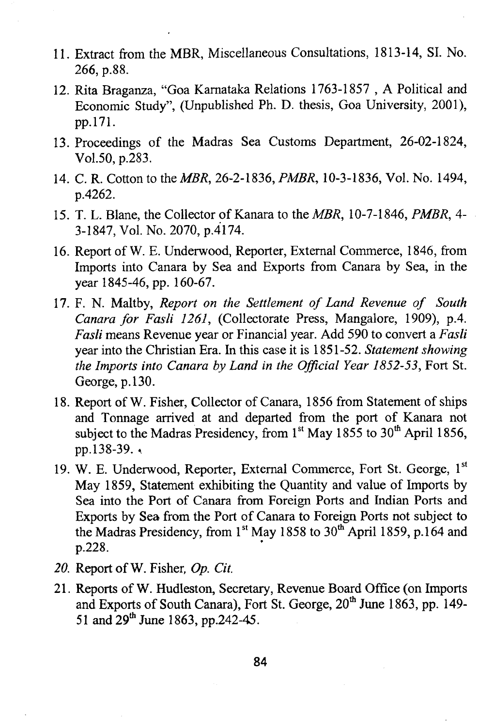- 11. Extract from the MBR, Miscellaneous Consultations, 1813-14, SI. No. 266, p.88.
- 12. Rita Braganza, "Goa Karnataka Relations 1763-1857 , A Political and Economic Study", (Unpublished Ph. D. thesis, Goa University, 2001), pp.171.
- 13. Proceedings of the Madras Sea Customs Department, 26-02-1824, Vol.50, p.283.
- 14. C. R. Cotton to the *MBR,* 26-2-1836, *PMBR,* 10-3-1836, Vol. No. 1494, p.4262.
- 15. T. L. Blane, the Collector of Kanara to the *MBR,* 10-7-1846, *PMBR, 4-* 3-1847, Vol. No. 2070, p.4174.
- 16. Report of W. E. Underwood, Reporter, External Commerce, 1846, from Imports into Canara by Sea and Exports from Canara by Sea, in the year 1845-46, pp. 160-67.
- 17. F. N. Maltby, *Report on the Settlement of Land Revenue of South Canara for Fasli 1261,* (Collectorate Press, Mangalore, 1909), p.4. *Fasli* means Revenue year or Financial year. Add 590 to convert a *Fasli* year into the Christian Era. In this case it is 1851-52. *Statement showing the Imports into Canara by Land in the Official Year 1852-53,* Fort St. George, p. 130.
- 18. Report of W. Fisher, Collector of Canara, 1856 from Statement of ships and Tonnage arrived at and departed from the port of Kanara not subject to the Madras Presidency, from  $1<sup>st</sup>$  May 1855 to 30<sup>th</sup> April 1856, pp.138-39.
- 19. W. E. Underwood, Reporter, External Commerce, Fort St. George, 1st May 1859, Statement exhibiting the Quantity and value of Imports by Sea into the Port of Canara from Foreign Ports and Indian Ports and Exports by Sea from the Port of Canara to Foreign Ports not subject to the Madras Presidency, from  $1<sup>st</sup>$  May 1858 to  $30<sup>th</sup>$  April 1859, p.164 and p.228.
- *20.* Report of W. Fisher, *Op. Cit.*
- 21. Reports of W. Hudleston, Secretary, Revenue Board Office (on Imports and Exports of South Canara), Fort St. George, 20<sup>th</sup> June 1863, pp. 149-51 and 29<sup>th</sup> June 1863, pp.242-45.